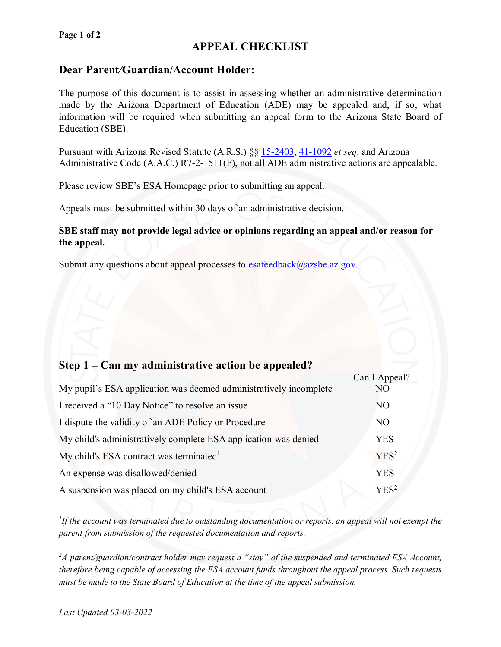#### **Page 1 of 2**

# **APPEAL CHECKLIST**

### **Dear Parent***/***Guardian/Account Holder:**

The purpose of this document is to assist in assessing whether an administrative determination made by the Arizona Department of Education (ADE) may be appealed and, if so, what information will be required when submitting an appeal form to the Arizona State Board of Education (SBE).

Pursuant with Arizona Revised Statute (A.R.S.) §§ [15-2403,](https://www.azleg.gov/viewdocument/?docName=https://www.azleg.gov/ars/15/02403.htm) [41-1092](https://www.azleg.gov/ars/41/01092.htm) *et seq*. and Arizona Administrative Code (A.A.C.) R7-2-1511(F), not all ADE administrative actions are appealable.

Please review SBE's ESA Homepage prior to submitting an appeal.

Appeals must be submitted within 30 days of an administrative decision.

#### **SBE staff may not provide legal advice or opinions regarding an appeal and/or reason for the appeal.**

Submit any questions about appeal processes to  $esafeedback@azsbe.az.gov.$ 

## **Step 1 – Can my administrative action be appealed?**

|                                                                   | Can I Appeal?  |  |
|-------------------------------------------------------------------|----------------|--|
| My pupil's ESA application was deemed administratively incomplete | NO             |  |
| I received a "10 Day Notice" to resolve an issue                  | N <sub>O</sub> |  |
| I dispute the validity of an ADE Policy or Procedure              | N <sub>O</sub> |  |
| My child's administratively complete ESA application was denied   |                |  |
| My child's ESA contract was terminated <sup>1</sup>               |                |  |
| An expense was disallowed/denied                                  |                |  |
| A suspension was placed on my child's ESA account                 |                |  |

*1 If the account was terminated due to outstanding documentation or reports, an appeal will not exempt the parent from submission of the requested documentation and reports.*

*2 A parent/guardian/contract holder may request a "stay" of the suspended and terminated ESA Account, therefore being capable of accessing the ESA account funds throughout the appeal process. Such requests must be made to the State Board of Education at the time of the appeal submission.*